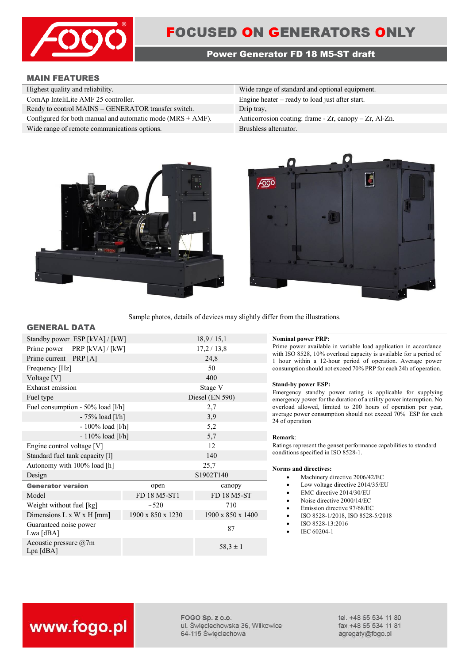

# **Power Generator FD 18 M5-ST draft**

# **MAIN FEATURES**

| Wide range of standard and optional equipment.             |
|------------------------------------------------------------|
| Engine heater $-$ ready to load just after start.          |
|                                                            |
| Anticorrosion coating: frame $-Zr$ , canopy $-Zr$ , Al-Zn. |
| Brushless alternator.                                      |
|                                                            |





Sample photos, details of devices may slightly differ from the illustrations.

#### **GENERAL DATA**

| Standby power ESP [kVA] / [kW]        |                   | 18,9/15,1         |
|---------------------------------------|-------------------|-------------------|
| PRP $[kVA]/[kW]$<br>Prime power       |                   | 17,2/13,8         |
| Prime current PRP [A]                 |                   | 24,8              |
| Frequency [Hz]                        |                   | 50                |
| Voltage [V]                           |                   | 400               |
| Exhaust emission                      |                   | Stage V           |
| Fuel type                             |                   | Diesel (EN 590)   |
| Fuel consumption - 50% load [l/h]     |                   | 2,7               |
| $-75%$ load [l/h]                     |                   | 3,9               |
| $-100\%$ load [l/h]                   |                   | 5,2               |
| $-110\%$ load [l/h]                   |                   | 5,7               |
| Engine control voltage [V]            |                   | 12                |
| Standard fuel tank capacity [1]       |                   | 140               |
| Autonomy with 100% load [h]           |                   | 25,7              |
| Design                                |                   | S1902T140         |
| <b>Generator version</b>              | open              | canopy            |
| Model                                 | FD 18 M5-ST1      | FD 18 M5-ST       |
| Weight without fuel [kg]              | $~10^{-520}$      | 710               |
| Dimensions $L \times W \times H$ [mm] | 1900 x 850 x 1230 | 1900 x 850 x 1400 |
| Guaranteed noise power<br>Lwa [dBA]   |                   | 87                |
| Acoustic pressure @7m<br>$Lpa$ [dBA]  |                   | $58,3 \pm 1$      |
|                                       |                   |                   |

#### **Nominal power PRP:**

Prime power available in variable load application in accordance with ISO 8528, 10% overload capacity is available for a period of 1 hour within a 12-hour period of operation. Average power consumption should not exceed 70% PRP for each 24h of operation.

#### **Stand-by power ESP:**

Emergency standby power rating is applicable for supplying emergency power for the duration of a utility power interruption. No overload allowed, limited to 200 hours of operation per year, average power consumption should not exceed 70% ESP for each 24 of operation

#### **Remark**:

Ratings represent the genset performance capabilities to standard conditions specified in ISO 8528-1.

#### **Norms and directives:**

- Machinery directive 2006/42/EC
- Low voltage directive 2014/35/EU
- EMC directive 2014/30/EU
- Noise directive 2000/14/EC
- Emission directive 97/68/EC
- ISO 8528-1/2018, ISO 8528-5/2018
- ISO 8528-13:2016
- IEC 60204-1

# www.fogo.pl

FOGO Sp. z o.o. ul. Świeciechowska 36, Wilkowice 64-115 Święciechowa

tel. +48 65 534 11 80 fax +48 65 534 11 81 agregaty@fogo.pl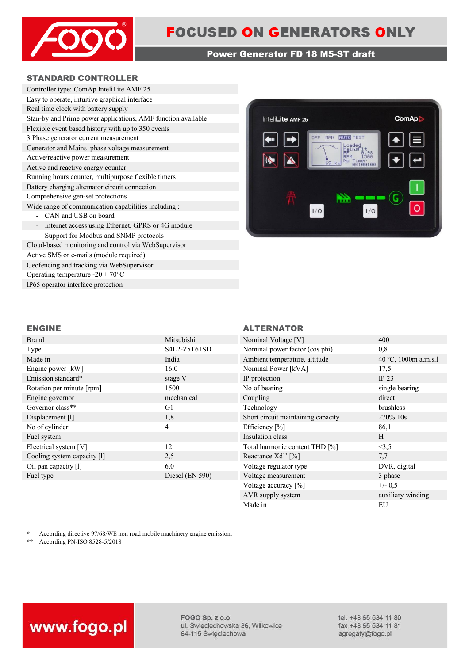

# **Power Generator FD 18 M5-ST draft**

# **STANDARD CONTROLLER**

| Controller type: ComAp InteliLite AMF 25                     |
|--------------------------------------------------------------|
| Easy to operate, intuitive graphical interface               |
| Real time clock with battery supply                          |
| Stan-by and Prime power applications, AMF function available |
| Flexible event based history with up to 350 events           |
| 3 Phase generator current measurement                        |
| Generator and Mains phase voltage measurement                |
| Active/reactive power measurement                            |
| Active and reactive energy counter                           |
| Running hours counter, multipurpose flexible timers          |
| Battery charging alternator circuit connection               |
| Comprehensive gen-set protections                            |
| Wide range of communication capabilities including :         |
| - CAN and USB on board                                       |
| - Internet access using Ethernet, GPRS or 4G module          |
| Support for Modbus and SNMP protocols                        |
| Cloud-based monitoring and control via WebSupervisor         |
|                                                              |

Active SMS or e-mails (module required) Geofencing and tracking via WebSupervisor Operating temperature -20 + 70°C IP65 operator interface protection



# **ENGINE ALTERNATOR**

Made in EU

| Brand                       | Mitsubishi        | Nominal Voltage [V]                | 400                  |
|-----------------------------|-------------------|------------------------------------|----------------------|
| Type                        | S4L2-Z5T61SD      | Nominal power factor (cos phi)     | 0,8                  |
| Made in                     | India             | Ambient temperature, altitude      | 40 °C, 1000m a.m.s.1 |
| Engine power [kW]           | 16,0              | Nominal Power [kVA]                | 17,5                 |
| Emission standard*          | stage V           | IP protection                      | IP $23$              |
| Rotation per minute [rpm]   | 1500              | No of bearing                      | single bearing       |
| Engine governor             | mechanical        | Coupling                           | direct               |
| Governor class**            | G1                | Technology                         | brushless            |
| Displacement [1]            | 1,8               | Short circuit maintaining capacity | 270% 10s             |
| No of cylinder              | 4                 | Efficiency [%]                     | 86,1                 |
| Fuel system                 |                   | Insulation class                   | H                    |
| Electrical system [V]       | 12                | Total harmonic content THD [%]     | <3,5                 |
| Cooling system capacity [1] | 2,5               | Reactance Xd'' [%]                 | 7,7                  |
| Oil pan capacity [1]        | 6,0               | Voltage regulator type             | DVR, digital         |
| Fuel type                   | Diesel $(EN 590)$ | Voltage measurement                | 3 phase              |
|                             |                   | Voltage accuracy [%]               | $+/- 0.5$            |
|                             |                   | AVR supply system                  | auxiliary winding    |

\* According directive 97/68/WE non road mobile machinery engine emission.<br>\*\* According PN-ISO 8528-5/2018

**\*\*** According PN-ISO 8528-5/2018



FOGO Sp. z o.o. ul. Święciechowska 36, Wilkowice 64-115 Święciechowa

tel. +48 65 534 11 80 fax +48 65 534 11 81 agregaty@fogo.pl